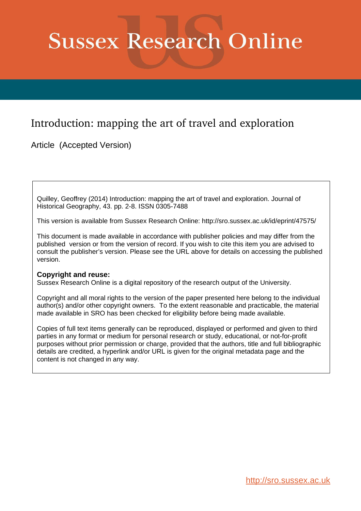# **Sussex Research Online**

# Introduction: mapping the art of travel and exploration

Article (Accepted Version)

Quilley, Geoffrey (2014) Introduction: mapping the art of travel and exploration. Journal of Historical Geography, 43. pp. 2-8. ISSN 0305-7488

This version is available from Sussex Research Online: http://sro.sussex.ac.uk/id/eprint/47575/

This document is made available in accordance with publisher policies and may differ from the published version or from the version of record. If you wish to cite this item you are advised to consult the publisher's version. Please see the URL above for details on accessing the published version.

## **Copyright and reuse:**

Sussex Research Online is a digital repository of the research output of the University.

Copyright and all moral rights to the version of the paper presented here belong to the individual author(s) and/or other copyright owners. To the extent reasonable and practicable, the material made available in SRO has been checked for eligibility before being made available.

Copies of full text items generally can be reproduced, displayed or performed and given to third parties in any format or medium for personal research or study, educational, or not-for-profit purposes without prior permission or charge, provided that the authors, title and full bibliographic details are credited, a hyperlink and/or URL is given for the original metadata page and the content is not changed in any way.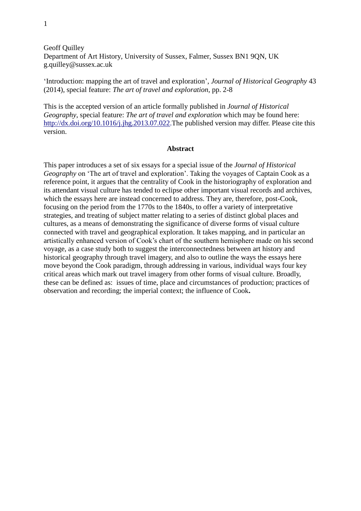Geoff Quilley Department of Art History, University of Sussex, Falmer, Sussex BN1 9QN, UK g.quilley@sussex.ac.uk

'Introduction: mapping the art of travel and exploration', *Journal of Historical Geography* 43 (2014), special feature: *The art of travel and exploration*, pp. 2-8

This is the accepted version of an article formally published in *Journal of Historical Geography*, special feature: *The art of travel and exploration* which may be found here: [http://dx.doi.org/10.1016/j.jhg.2013.07.022.](http://dx.doi.org/10.1016/j.jhg.2013.07.022) The published version may differ. Please cite this version.

### **Abstract**

This paper introduces a set of six essays for a special issue of the *Journal of Historical Geography* on 'The art of travel and exploration'. Taking the voyages of Captain Cook as a reference point, it argues that the centrality of Cook in the historiography of exploration and its attendant visual culture has tended to eclipse other important visual records and archives, which the essays here are instead concerned to address. They are, therefore, post-Cook, focusing on the period from the 1770s to the 1840s, to offer a variety of interpretative strategies, and treating of subject matter relating to a series of distinct global places and cultures, as a means of demonstrating the significance of diverse forms of visual culture connected with travel and geographical exploration. It takes mapping, and in particular an artistically enhanced version of Cook's chart of the southern hemisphere made on his second voyage, as a case study both to suggest the interconnectedness between art history and historical geography through travel imagery, and also to outline the ways the essays here move beyond the Cook paradigm, through addressing in various, individual ways four key critical areas which mark out travel imagery from other forms of visual culture. Broadly, these can be defined as: issues of time, place and circumstances of production; practices of observation and recording; the imperial context; the influence of Cook**.**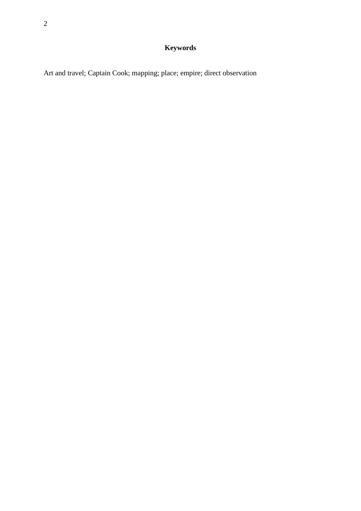Art and travel; Captain Cook; mapping; place; empire; direct observation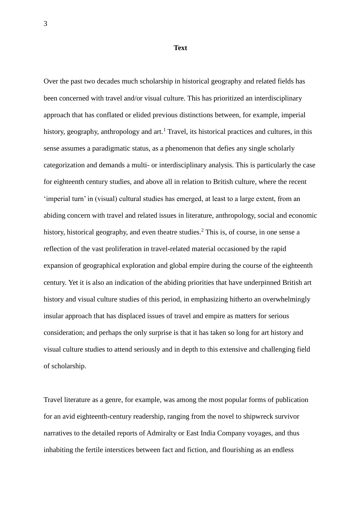#### **Text**

Over the past two decades much scholarship in historical geography and related fields has been concerned with travel and/or visual culture. This has prioritized an interdisciplinary approach that has conflated or elided previous distinctions between, for example, imperial history, geography, anthropology and  $art<sup>1</sup>$  Travel, its historical practices and cultures, in this sense assumes a paradigmatic status, as a phenomenon that defies any single scholarly categorization and demands a multi- or interdisciplinary analysis. This is particularly the case for eighteenth century studies, and above all in relation to British culture, where the recent 'imperial turn' in (visual) cultural studies has emerged, at least to a large extent, from an abiding concern with travel and related issues in literature, anthropology, social and economic history, historical geography, and even theatre studies.<sup>2</sup> This is, of course, in one sense a reflection of the vast proliferation in travel-related material occasioned by the rapid expansion of geographical exploration and global empire during the course of the eighteenth century. Yet it is also an indication of the abiding priorities that have underpinned British art history and visual culture studies of this period, in emphasizing hitherto an overwhelmingly insular approach that has displaced issues of travel and empire as matters for serious consideration; and perhaps the only surprise is that it has taken so long for art history and visual culture studies to attend seriously and in depth to this extensive and challenging field of scholarship.

Travel literature as a genre, for example, was among the most popular forms of publication for an avid eighteenth-century readership, ranging from the novel to shipwreck survivor narratives to the detailed reports of Admiralty or East India Company voyages, and thus inhabiting the fertile interstices between fact and fiction, and flourishing as an endless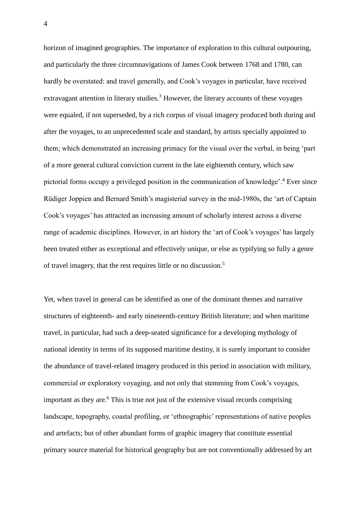horizon of imagined geographies. The importance of exploration to this cultural outpouring, and particularly the three circumnavigations of James Cook between 1768 and 1780, can hardly be overstated: and travel generally, and Cook's voyages in particular, have received extravagant attention in literary studies.<sup>3</sup> However, the literary accounts of these voyages were equaled, if not superseded, by a rich corpus of visual imagery produced both during and after the voyages, to an unprecedented scale and standard, by artists specially appointed to them; which demonstrated an increasing primacy for the visual over the verbal, in being 'part of a more general cultural conviction current in the late eighteenth century, which saw pictorial forms occupy a privileged position in the communication of knowledge'.<sup>4</sup> Ever since Rüdiger Joppien and Bernard Smith's magisterial survey in the mid-1980s, the 'art of Captain Cook's voyages' has attracted an increasing amount of scholarly interest across a diverse range of academic disciplines. However, in art history the 'art of Cook's voyages' has largely been treated either as exceptional and effectively unique, or else as typifying so fully a genre of travel imagery, that the rest requires little or no discussion.<sup>5</sup>

Yet, when travel in general can be identified as one of the dominant themes and narrative structures of eighteenth- and early nineteenth-century British literature; and when maritime travel, in particular, had such a deep-seated significance for a developing mythology of national identity in terms of its supposed maritime destiny, it is surely important to consider the abundance of travel-related imagery produced in this period in association with military, commercial or exploratory voyaging, and not only that stemming from Cook's voyages, important as they are.<sup>6</sup> This is true not just of the extensive visual records comprising landscape, topography, coastal profiling, or 'ethnographic' representations of native peoples and artefacts; but of other abundant forms of graphic imagery that constitute essential primary source material for historical geography but are not conventionally addressed by art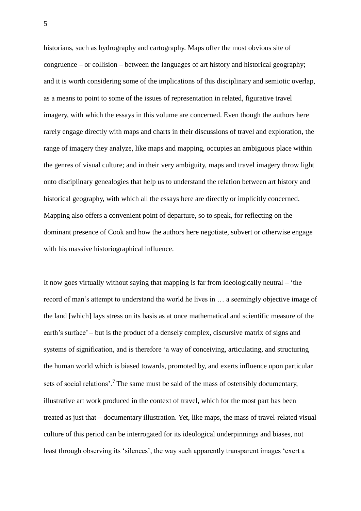historians, such as hydrography and cartography. Maps offer the most obvious site of congruence – or collision – between the languages of art history and historical geography; and it is worth considering some of the implications of this disciplinary and semiotic overlap, as a means to point to some of the issues of representation in related, figurative travel imagery, with which the essays in this volume are concerned. Even though the authors here rarely engage directly with maps and charts in their discussions of travel and exploration, the range of imagery they analyze, like maps and mapping, occupies an ambiguous place within the genres of visual culture; and in their very ambiguity, maps and travel imagery throw light onto disciplinary genealogies that help us to understand the relation between art history and historical geography, with which all the essays here are directly or implicitly concerned. Mapping also offers a convenient point of departure, so to speak, for reflecting on the dominant presence of Cook and how the authors here negotiate, subvert or otherwise engage with his massive historiographical influence.

It now goes virtually without saying that mapping is far from ideologically neutral – 'the record of man's attempt to understand the world he lives in … a seemingly objective image of the land [which] lays stress on its basis as at once mathematical and scientific measure of the earth's surface' – but is the product of a densely complex, discursive matrix of signs and systems of signification, and is therefore 'a way of conceiving, articulating, and structuring the human world which is biased towards, promoted by, and exerts influence upon particular sets of social relations'.<sup>7</sup> The same must be said of the mass of ostensibly documentary, illustrative art work produced in the context of travel, which for the most part has been treated as just that – documentary illustration. Yet, like maps, the mass of travel-related visual culture of this period can be interrogated for its ideological underpinnings and biases, not least through observing its 'silences', the way such apparently transparent images 'exert a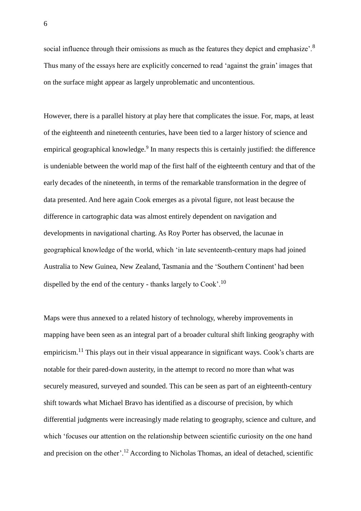social influence through their omissions as much as the features they depict and emphasize'.<sup>8</sup> Thus many of the essays here are explicitly concerned to read 'against the grain' images that on the surface might appear as largely unproblematic and uncontentious.

However, there is a parallel history at play here that complicates the issue. For, maps, at least of the eighteenth and nineteenth centuries, have been tied to a larger history of science and empirical geographical knowledge.<sup>9</sup> In many respects this is certainly justified: the difference is undeniable between the world map of the first half of the eighteenth century and that of the early decades of the nineteenth, in terms of the remarkable transformation in the degree of data presented. And here again Cook emerges as a pivotal figure, not least because the difference in cartographic data was almost entirely dependent on navigation and developments in navigational charting. As Roy Porter has observed, the lacunae in geographical knowledge of the world, which 'in late seventeenth-century maps had joined Australia to New Guinea, New Zealand, Tasmania and the 'Southern Continent' had been dispelled by the end of the century - thanks largely to Cook'.<sup>10</sup>

Maps were thus annexed to a related history of technology, whereby improvements in mapping have been seen as an integral part of a broader cultural shift linking geography with empiricism.<sup>11</sup> This plays out in their visual appearance in significant ways. Cook's charts are notable for their pared-down austerity, in the attempt to record no more than what was securely measured, surveyed and sounded. This can be seen as part of an eighteenth-century shift towards what Michael Bravo has identified as a discourse of precision, by which differential judgments were increasingly made relating to geography, science and culture, and which 'focuses our attention on the relationship between scientific curiosity on the one hand and precision on the other'.<sup>12</sup> According to Nicholas Thomas, an ideal of detached, scientific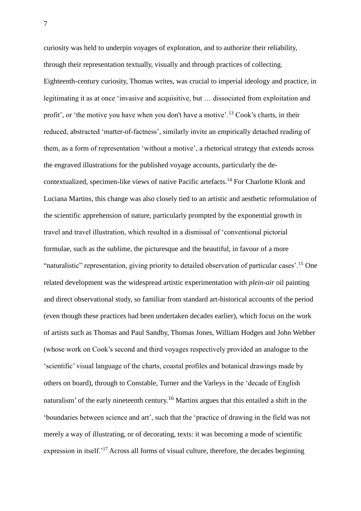curiosity was held to underpin voyages of exploration, and to authorize their reliability, through their representation textually, visually and through practices of collecting. Eighteenth-century curiosity, Thomas writes, was crucial to imperial ideology and practice, in legitimating it as at once 'invasive and acquisitive, but … dissociated from exploitation and profit', or 'the motive you have when you don't have a motive'.<sup>13</sup> Cook's charts, in their reduced, abstracted 'matter-of-factness', similarly invite an empirically detached reading of them, as a form of representation 'without a motive', a rhetorical strategy that extends across the engraved illustrations for the published voyage accounts, particularly the decontextualized, specimen-like views of native Pacific artefacts.<sup>14</sup> For Charlotte Klonk and Luciana Martins, this change was also closely tied to an artistic and aesthetic reformulation of the scientific apprehension of nature, particularly prompted by the exponential growth in travel and travel illustration, which resulted in a dismissal of 'conventional pictorial formulae, such as the sublime, the picturesque and the beautiful, in favour of a more "naturalistic" representation, giving priority to detailed observation of particular cases'.<sup>15</sup> One related development was the widespread artistic experimentation with *plein-air* oil painting and direct observational study, so familiar from standard art-historical accounts of the period (even though these practices had been undertaken decades earlier), which focus on the work of artists such as Thomas and Paul Sandby, Thomas Jones, William Hodges and John Webber (whose work on Cook's second and third voyages respectively provided an analogue to the 'scientific' visual language of the charts, coastal profiles and botanical drawings made by others on board), through to Constable, Turner and the Varleys in the 'decade of English naturalism' of the early nineteenth century.<sup>16</sup> Martins argues that this entailed a shift in the 'boundaries between science and art', such that the 'practice of drawing in the field was not merely a way of illustrating, or of decorating, texts: it was becoming a mode of scientific expression in itself.'<sup>17</sup> Across all forms of visual culture, therefore, the decades beginning

7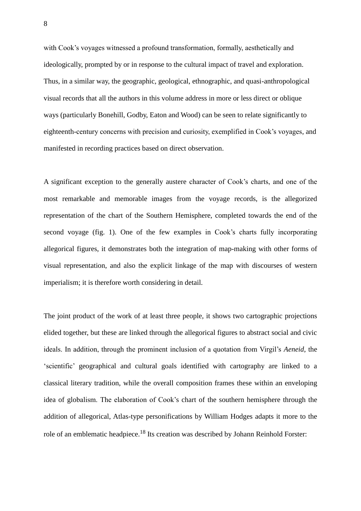with Cook's voyages witnessed a profound transformation, formally, aesthetically and ideologically, prompted by or in response to the cultural impact of travel and exploration. Thus, in a similar way, the geographic, geological, ethnographic, and quasi-anthropological visual records that all the authors in this volume address in more or less direct or oblique ways (particularly Bonehill, Godby, Eaton and Wood) can be seen to relate significantly to eighteenth-century concerns with precision and curiosity, exemplified in Cook's voyages, and manifested in recording practices based on direct observation.

A significant exception to the generally austere character of Cook's charts, and one of the most remarkable and memorable images from the voyage records, is the allegorized representation of the chart of the Southern Hemisphere, completed towards the end of the second voyage (fig. 1). One of the few examples in Cook's charts fully incorporating allegorical figures, it demonstrates both the integration of map-making with other forms of visual representation, and also the explicit linkage of the map with discourses of western imperialism; it is therefore worth considering in detail.

The joint product of the work of at least three people, it shows two cartographic projections elided together, but these are linked through the allegorical figures to abstract social and civic ideals. In addition, through the prominent inclusion of a quotation from Virgil's *Aeneid*, the 'scientific' geographical and cultural goals identified with cartography are linked to a classical literary tradition, while the overall composition frames these within an enveloping idea of globalism. The elaboration of Cook's chart of the southern hemisphere through the addition of allegorical, Atlas-type personifications by William Hodges adapts it more to the role of an emblematic headpiece.<sup>18</sup> Its creation was described by Johann Reinhold Forster: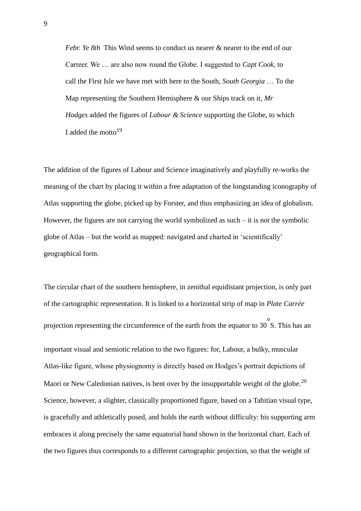*Febr. Ye 8th* This Wind seems to conduct us nearer & nearer to the end of our Carreer. We … are also now round the Globe. I suggested to *Capt Cook*, to call the First Isle we have met with here to the South, *South Georgia* … To the Map representing the Southern Hemisphere & our Ships track on it, *Mr Hodges* added the figures of *Labour & Science* supporting the Globe, to which I added the motto $19$ 

The addition of the figures of Labour and Science imaginatively and playfully re-works the meaning of the chart by placing it within a free adaptation of the longstanding iconography of Atlas supporting the globe, picked up by Forster, and thus emphasizing an idea of globalism. However, the figures are not carrying the world symbolized as such  $-$  it is not the symbolic globe of Atlas – but the world as mapped: navigated and charted in 'scientifically' geographical form.

The circular chart of the southern hemisphere, in zenithal equidistant projection, is only part of the cartographic representation. It is linked to a horizontal strip of map in *Plate Carrée* projection representing the circumference of the earth from the equator to 30 S. This has an important visual and semiotic relation to the two figures: for, Labour, a bulky, muscular Atlas-like figure, whose physiognomy is directly based on Hodges's portrait depictions of Maori or New Caledonian natives, is bent over by the insupportable weight of the globe.<sup>20</sup> Science, however, a slighter, classically proportioned figure, based on a Tahitian visual type, is gracefully and athletically posed, and holds the earth without difficulty: his supporting arm embraces it along precisely the same equatorial band shown in the horizontal chart. Each of the two figures thus corresponds to a different cartographic projection, so that the weight of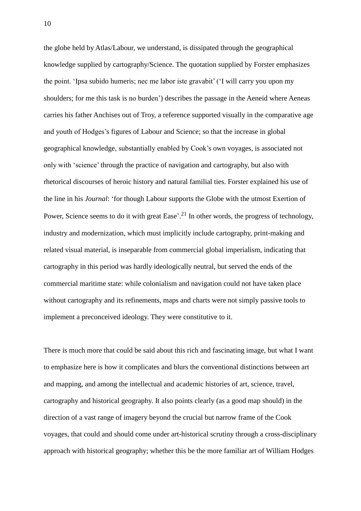the globe held by Atlas/Labour, we understand, is dissipated through the geographical knowledge supplied by cartography/Science. The quotation supplied by Forster emphasizes the point. 'Ipsa subido humeris; nec me labor iste gravabit' ('I will carry you upon my shoulders; for me this task is no burden') describes the passage in the Aeneid where Aeneas carries his father Anchises out of Troy, a reference supported visually in the comparative age and youth of Hodges's figures of Labour and Science; so that the increase in global geographical knowledge, substantially enabled by Cook's own voyages, is associated not only with 'science' through the practice of navigation and cartography, but also with rhetorical discourses of heroic history and natural familial ties. Forster explained his use of the line in his *Journal*: 'for though Labour supports the Globe with the utmost Exertion of Power, Science seems to do it with great Ease'.<sup>21</sup> In other words, the progress of technology, industry and modernization, which must implicitly include cartography, print-making and related visual material, is inseparable from commercial global imperialism, indicating that cartography in this period was hardly ideologically neutral, but served the ends of the commercial maritime state: while colonialism and navigation could not have taken place without cartography and its refinements, maps and charts were not simply passive tools to implement a preconceived ideology. They were constitutive to it.

There is much more that could be said about this rich and fascinating image, but what I want to emphasize here is how it complicates and blurs the conventional distinctions between art and mapping, and among the intellectual and academic histories of art, science, travel, cartography and historical geography. It also points clearly (as a good map should) in the direction of a vast range of imagery beyond the crucial but narrow frame of the Cook voyages, that could and should come under art-historical scrutiny through a cross-disciplinary approach with historical geography; whether this be the more familiar art of William Hodges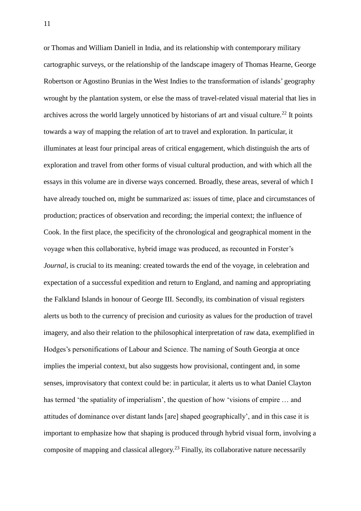or Thomas and William Daniell in India, and its relationship with contemporary military cartographic surveys, or the relationship of the landscape imagery of Thomas Hearne, George Robertson or Agostino Brunias in the West Indies to the transformation of islands' geography wrought by the plantation system, or else the mass of travel-related visual material that lies in archives across the world largely unnoticed by historians of art and visual culture.<sup>22</sup> It points towards a way of mapping the relation of art to travel and exploration. In particular, it illuminates at least four principal areas of critical engagement, which distinguish the arts of exploration and travel from other forms of visual cultural production, and with which all the essays in this volume are in diverse ways concerned. Broadly, these areas, several of which I have already touched on, might be summarized as: issues of time, place and circumstances of production; practices of observation and recording; the imperial context; the influence of Cook. In the first place, the specificity of the chronological and geographical moment in the voyage when this collaborative, hybrid image was produced, as recounted in Forster's *Journal*, is crucial to its meaning: created towards the end of the voyage, in celebration and expectation of a successful expedition and return to England, and naming and appropriating the Falkland Islands in honour of George III. Secondly, its combination of visual registers alerts us both to the currency of precision and curiosity as values for the production of travel imagery, and also their relation to the philosophical interpretation of raw data, exemplified in Hodges's personifications of Labour and Science. The naming of South Georgia at once implies the imperial context, but also suggests how provisional, contingent and, in some senses, improvisatory that context could be: in particular, it alerts us to what Daniel Clayton has termed 'the spatiality of imperialism', the question of how 'visions of empire ... and attitudes of dominance over distant lands [are] shaped geographically', and in this case it is important to emphasize how that shaping is produced through hybrid visual form, involving a composite of mapping and classical allegory.<sup>23</sup> Finally, its collaborative nature necessarily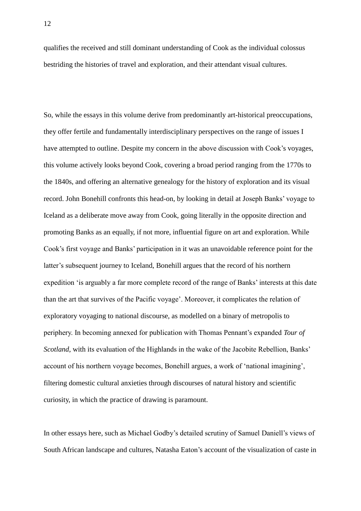qualifies the received and still dominant understanding of Cook as the individual colossus bestriding the histories of travel and exploration, and their attendant visual cultures.

So, while the essays in this volume derive from predominantly art-historical preoccupations, they offer fertile and fundamentally interdisciplinary perspectives on the range of issues I have attempted to outline. Despite my concern in the above discussion with Cook's voyages, this volume actively looks beyond Cook, covering a broad period ranging from the 1770s to the 1840s, and offering an alternative genealogy for the history of exploration and its visual record. John Bonehill confronts this head-on, by looking in detail at Joseph Banks' voyage to Iceland as a deliberate move away from Cook, going literally in the opposite direction and promoting Banks as an equally, if not more, influential figure on art and exploration. While Cook's first voyage and Banks' participation in it was an unavoidable reference point for the latter's subsequent journey to Iceland, Bonehill argues that the record of his northern expedition 'is arguably a far more complete record of the range of Banks' interests at this date than the art that survives of the Pacific voyage'. Moreover, it complicates the relation of exploratory voyaging to national discourse, as modelled on a binary of metropolis to periphery. In becoming annexed for publication with Thomas Pennant's expanded *Tour of Scotland*, with its evaluation of the Highlands in the wake of the Jacobite Rebellion, Banks' account of his northern voyage becomes, Bonehill argues, a work of 'national imagining', filtering domestic cultural anxieties through discourses of natural history and scientific curiosity, in which the practice of drawing is paramount.

In other essays here, such as Michael Godby's detailed scrutiny of Samuel Daniell's views of South African landscape and cultures, Natasha Eaton's account of the visualization of caste in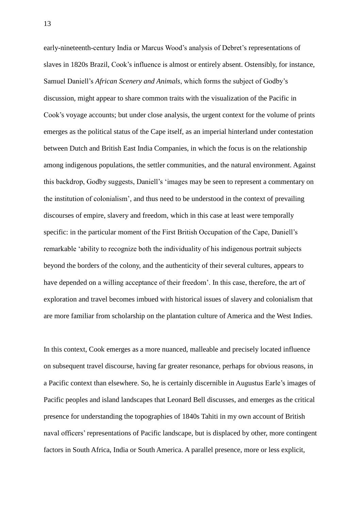early-nineteenth-century India or Marcus Wood's analysis of Debret's representations of slaves in 1820s Brazil, Cook's influence is almost or entirely absent. Ostensibly, for instance, Samuel Daniell's *African Scenery and Animals*, which forms the subject of Godby's discussion, might appear to share common traits with the visualization of the Pacific in Cook's voyage accounts; but under close analysis, the urgent context for the volume of prints emerges as the political status of the Cape itself, as an imperial hinterland under contestation between Dutch and British East India Companies, in which the focus is on the relationship among indigenous populations, the settler communities, and the natural environment. Against this backdrop, Godby suggests, Daniell's 'images may be seen to represent a commentary on the institution of colonialism', and thus need to be understood in the context of prevailing discourses of empire, slavery and freedom, which in this case at least were temporally specific: in the particular moment of the First British Occupation of the Cape, Daniell's remarkable 'ability to recognize both the individuality of his indigenous portrait subjects beyond the borders of the colony, and the authenticity of their several cultures, appears to have depended on a willing acceptance of their freedom'. In this case, therefore, the art of exploration and travel becomes imbued with historical issues of slavery and colonialism that are more familiar from scholarship on the plantation culture of America and the West Indies.

In this context, Cook emerges as a more nuanced, malleable and precisely located influence on subsequent travel discourse, having far greater resonance, perhaps for obvious reasons, in a Pacific context than elsewhere. So, he is certainly discernible in Augustus Earle's images of Pacific peoples and island landscapes that Leonard Bell discusses, and emerges as the critical presence for understanding the topographies of 1840s Tahiti in my own account of British naval officers' representations of Pacific landscape, but is displaced by other, more contingent factors in South Africa, India or South America. A parallel presence, more or less explicit,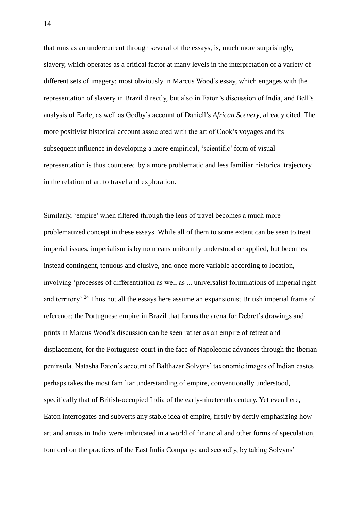that runs as an undercurrent through several of the essays, is, much more surprisingly, slavery, which operates as a critical factor at many levels in the interpretation of a variety of different sets of imagery: most obviously in Marcus Wood's essay, which engages with the representation of slavery in Brazil directly, but also in Eaton's discussion of India, and Bell's analysis of Earle, as well as Godby's account of Daniell's *African Scenery*, already cited. The more positivist historical account associated with the art of Cook's voyages and its subsequent influence in developing a more empirical, 'scientific' form of visual representation is thus countered by a more problematic and less familiar historical trajectory in the relation of art to travel and exploration.

Similarly, 'empire' when filtered through the lens of travel becomes a much more problematized concept in these essays. While all of them to some extent can be seen to treat imperial issues, imperialism is by no means uniformly understood or applied, but becomes instead contingent, tenuous and elusive, and once more variable according to location, involving 'processes of differentiation as well as ... universalist formulations of imperial right and territory'.<sup>24</sup> Thus not all the essays here assume an expansionist British imperial frame of reference: the Portuguese empire in Brazil that forms the arena for Debret's drawings and prints in Marcus Wood's discussion can be seen rather as an empire of retreat and displacement, for the Portuguese court in the face of Napoleonic advances through the Iberian peninsula. Natasha Eaton's account of Balthazar Solvyns' taxonomic images of Indian castes perhaps takes the most familiar understanding of empire, conventionally understood, specifically that of British-occupied India of the early-nineteenth century. Yet even here, Eaton interrogates and subverts any stable idea of empire, firstly by deftly emphasizing how art and artists in India were imbricated in a world of financial and other forms of speculation, founded on the practices of the East India Company; and secondly, by taking Solvyns'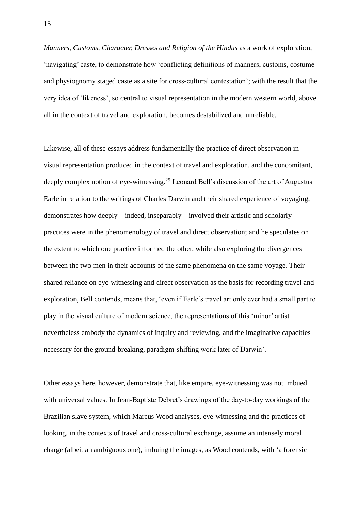*Manners, Customs, Character, Dresses and Religion of the Hindus* as a work of exploration, 'navigating' caste, to demonstrate how 'conflicting definitions of manners, customs, costume and physiognomy staged caste as a site for cross-cultural contestation'; with the result that the very idea of 'likeness', so central to visual representation in the modern western world, above all in the context of travel and exploration, becomes destabilized and unreliable.

Likewise, all of these essays address fundamentally the practice of direct observation in visual representation produced in the context of travel and exploration, and the concomitant, deeply complex notion of eye-witnessing.<sup>25</sup> Leonard Bell's discussion of the art of Augustus Earle in relation to the writings of Charles Darwin and their shared experience of voyaging, demonstrates how deeply – indeed, inseparably – involved their artistic and scholarly practices were in the phenomenology of travel and direct observation; and he speculates on the extent to which one practice informed the other, while also exploring the divergences between the two men in their accounts of the same phenomena on the same voyage. Their shared reliance on eye-witnessing and direct observation as the basis for recording travel and exploration, Bell contends, means that, 'even if Earle's travel art only ever had a small part to play in the visual culture of modern science, the representations of this 'minor' artist nevertheless embody the dynamics of inquiry and reviewing, and the imaginative capacities necessary for the ground-breaking, paradigm-shifting work later of Darwin'.

Other essays here, however, demonstrate that, like empire, eye-witnessing was not imbued with universal values. In Jean-Baptiste Debret's drawings of the day-to-day workings of the Brazilian slave system, which Marcus Wood analyses, eye-witnessing and the practices of looking, in the contexts of travel and cross-cultural exchange, assume an intensely moral charge (albeit an ambiguous one), imbuing the images, as Wood contends, with 'a forensic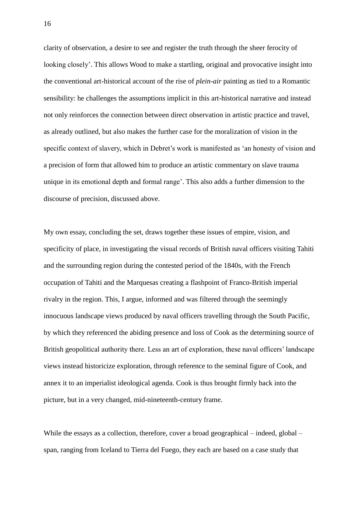clarity of observation, a desire to see and register the truth through the sheer ferocity of looking closely'. This allows Wood to make a startling, original and provocative insight into the conventional art-historical account of the rise of *plein-air* painting as tied to a Romantic sensibility: he challenges the assumptions implicit in this art-historical narrative and instead not only reinforces the connection between direct observation in artistic practice and travel, as already outlined, but also makes the further case for the moralization of vision in the specific context of slavery, which in Debret's work is manifested as 'an honesty of vision and a precision of form that allowed him to produce an artistic commentary on slave trauma unique in its emotional depth and formal range'. This also adds a further dimension to the discourse of precision, discussed above.

My own essay, concluding the set, draws together these issues of empire, vision, and specificity of place, in investigating the visual records of British naval officers visiting Tahiti and the surrounding region during the contested period of the 1840s, with the French occupation of Tahiti and the Marquesas creating a flashpoint of Franco-British imperial rivalry in the region. This, I argue, informed and was filtered through the seemingly innocuous landscape views produced by naval officers travelling through the South Pacific, by which they referenced the abiding presence and loss of Cook as the determining source of British geopolitical authority there. Less an art of exploration, these naval officers' landscape views instead historicize exploration, through reference to the seminal figure of Cook, and annex it to an imperialist ideological agenda. Cook is thus brought firmly back into the picture, but in a very changed, mid-nineteenth-century frame.

While the essays as a collection, therefore, cover a broad geographical – indeed, global – span, ranging from Iceland to Tierra del Fuego, they each are based on a case study that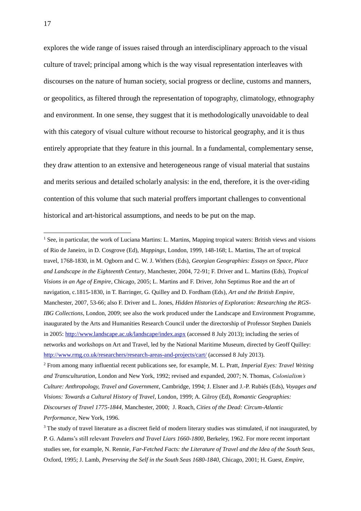explores the wide range of issues raised through an interdisciplinary approach to the visual culture of travel; principal among which is the way visual representation interleaves with discourses on the nature of human society, social progress or decline, customs and manners, or geopolitics, as filtered through the representation of topography, climatology, ethnography and environment. In one sense, they suggest that it is methodologically unavoidable to deal with this category of visual culture without recourse to historical geography, and it is thus entirely appropriate that they feature in this journal. In a fundamental, complementary sense, they draw attention to an extensive and heterogeneous range of visual material that sustains and merits serious and detailed scholarly analysis: in the end, therefore, it is the over-riding contention of this volume that such material proffers important challenges to conventional historical and art-historical assumptions, and needs to be put on the map.

<sup>1</sup> See, in particular, the work of Luciana Martins: L. Martins, Mapping tropical waters: British views and visions of Rio de Janeiro, in D. Cosgrove (Ed), *Mappings*, London, 1999, 148-168; L. Martins, The art of tropical travel, 1768-1830, in M. Ogborn and C. W. J. Withers (Eds), *Georgian Geographies: Essays on Space, Place and Landscape in the Eighteenth Century*, Manchester, 2004, 72-91; F. Driver and L. Martins (Eds), *Tropical Visions in an Age of Empire*, Chicago, 2005; L. Martins and F. Driver, John Septimus Roe and the art of navigation, c.1815-1830, in T. Barringer, G. Quilley and D. Fordham (Eds), *Art and the British Empire*, Manchester, 2007, 53-66; also F. Driver and L. Jones, *Hidden Histories of Exploration: Researching the RGS-IBG Collections*, London, 2009; see also the work produced under the Landscape and Environment Programme, inaugurated by the Arts and Humanities Research Council under the directorship of Professor Stephen Daniels in 2005[: http://www.landscape.ac.uk/landscape/index.aspx](http://www.landscape.ac.uk/landscape/index.aspx) (accessed 8 July 2013); including the series of networks and workshops on Art and Travel, led by the National Maritime Museum, directed by Geoff Quilley: <http://www.rmg.co.uk/researchers/research-areas-and-projects/cart/> (accessed 8 July 2013).

<sup>2</sup> From among many influential recent publications see, for example, M. L. Pratt, *Imperial Eyes: Travel Writing and Transculturation*, London and New York, 1992; revised and expanded, 2007; N. Thomas, *Colonialism's Culture: Anthropology, Travel and Government*, Cambridge, 1994; J. Elsner and J.-P. Rubiés (Eds), *Voyages and Visions: Towards a Cultural History of Travel*, London, 1999; A. Gilroy (Ed), *Romantic Geographies: Discourses of Travel 1775-1844*, Manchester, 2000; J. Roach, *Cities of the Dead: Circum-Atlantic Performance*, New York, 1996.

<u>.</u>

<sup>&</sup>lt;sup>3</sup> The study of travel literature as a discreet field of modern literary studies was stimulated, if not inaugurated, by P. G. Adams's still relevant *Travelers and Travel Liars 1660-1800*, Berkeley, 1962. For more recent important studies see, for example, N. Rennie, *Far-Fetched Facts: the Literature of Travel and the Idea of the South Seas*, Oxford, 1995; J. Lamb, *Preserving the Self in the South Seas 1680-1840*, Chicago, 2001; H. Guest, *Empire,*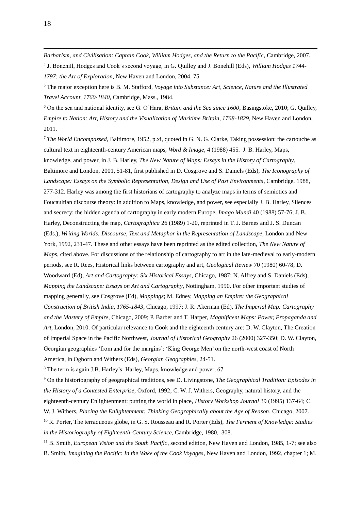*Barbarism, and Civilisation: Captain Cook, William Hodges, and the Return to the Pacific*, Cambridge, 2007.

4 J. Bonehill, Hodges and Cook's second voyage, in G. Quilley and J. Bonehill (Eds), *William Hodges 1744- 1797: the Art of Exploration*, New Haven and London, 2004, 75.

<sup>5</sup> The major exception here is B. M. Stafford, *Voyage into Substance: Art, Science, Nature and the Illustrated Travel Account, 1760-1840*, Cambridge, Mass., 1984.

<sup>6</sup> On the sea and national identity, see G. O'Hara, *Britain and the Sea since 1600*, Basingstoke, 2010; G. Quilley, *Empire to Nation: Art, History and the Visualization of Maritime Britain, 1768-1829*, New Haven and London, 2011.

<sup>7</sup> *The World Encompassed*, Baltimore, 1952, p.xi, quoted in G. N. G. Clarke, Taking possession: the cartouche as cultural text in eighteenth-century American maps, *Word & Image*, 4 (1988) 455. J. B. Harley, Maps, knowledge, and power, in J. B. Harley, *The New Nature of Maps: Essays in the History of Cartography*, Baltimore and London, 2001, 51-81, first published in D. Cosgrove and S. Daniels (Eds), *The Iconography of Landscape: Essays on the Symbolic Representation, Design and Use of Past Environments*, Cambridge, 1988, 277-312. Harley was among the first historians of cartography to analyze maps in terms of semiotics and Foucaultian discourse theory: in addition to Maps, knowledge, and power, see especially J. B. Harley, Silences and secrecy: the hidden agenda of cartography in early modern Europe, *Imago Mundi* 40 (1988) 57-76; J. B. Harley, Deconstructing the map, *Cartographica* 26 (1989) 1-20, reprinted in T. J. Barnes and J. S. Duncan (Eds.), *Writing Worlds: Discourse, Text and Metaphor in the Representation of Landscape*, London and New York, 1992, 231-47. These and other essays have been reprinted as the edited collection, *The New Nature of Maps*, cited above. For discussions of the relationship of cartography to art in the late-medieval to early-modern periods, see R. Rees, Historical links between cartography and art, *Geological Review* 70 (1980) 60-78; D. Woodward (Ed), *Art and Cartography: Six Historical Essays*, Chicago, 1987; N. Alfrey and S. Daniels (Eds), *Mapping the Landscape: Essays on Art and Cartography*, Nottingham, 1990. For other important studies of mapping generally, see Cosgrove (Ed), *Mappings*; M. Edney, *Mapping an Empire: the Geographical Construction of British India, 1765-1843*, Chicago, 1997; J. R. Akerman (Ed), *The Imperial Map: Cartography and the Mastery of Empire*, Chicago, 2009; P. Barber and T. Harper, *Magnificent Maps: Power, Propaganda and Art*, London, 2010. Of particular relevance to Cook and the eighteenth century are: D. W. Clayton, [The Creation](https://risweb.st-andrews.ac.uk/portal/en/researchoutput/the-creation-of-imperial-space-in-the-pacific-northwest(0f93a541-a0c1-42d9-b802-2ad9ded0673a).html)  [of Imperial Space in the Pacific Northwest,](https://risweb.st-andrews.ac.uk/portal/en/researchoutput/the-creation-of-imperial-space-in-the-pacific-northwest(0f93a541-a0c1-42d9-b802-2ad9ded0673a).html) *Journal of Historical Geography* 26 (2000) 327-350; D. W. Clayton, [Georgian geographies 'from and for the margins': 'King](https://risweb.st-andrews.ac.uk/portal/en/researchoutput/georgian-geographies-from-and-for-the-margins-king-george-men-on-the-northwest-coast-of-north-america(a1df1740-9670-4e6e-be6b-15eeafba949c).html) George Men' on the north-west coast of North [America,](https://risweb.st-andrews.ac.uk/portal/en/researchoutput/georgian-geographies-from-and-for-the-margins-king-george-men-on-the-northwest-coast-of-north-america(a1df1740-9670-4e6e-be6b-15eeafba949c).html) in Ogborn and Withers (Eds), *Georgian Geographies*, 24-51.

<sup>8</sup> The term is again J.B. Harley's: Harley, Maps, knowledge and power, 67.

<sup>9</sup> On the historiography of geographical traditions, see D. Livingstone, *The Geographical Tradition: Episodes in the History of a Contested Enterprise*, Oxford, 1992; C. W. J. Withers, Geography, natural history, and the eighteenth-century Enlightenment: putting the world in place, *History Workshop Journal* 39 (1995) 137-64; C. W. J. Withers, *Placing the Enlightenment: Thinking Geographically about the Age of Reason*, Chicago, 2007. <sup>10</sup> R. Porter, The terraqueous globe, in G. S. Rousseau and R. Porter (Eds), *The Ferment of Knowledge: Studies* 

*in the Historiography of Eighteenth-Century Science*, Cambridge, 1980, 308.

<sup>11</sup> B. Smith, *European Vision and the South Pacific*, second edition, New Haven and London, 1985, 1-7; see also B. Smith, *Imagining the Pacific: In the Wake of the Cook Voyages*, New Haven and London, 1992, chapter 1; M.

<u>.</u>